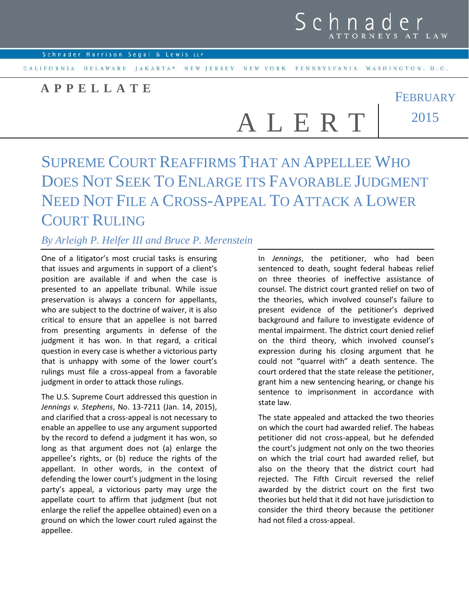

FEBRUARY

CALIFORNIA DELAWARE JAKARTA\* NEW JERSEY NEW YORK PENNSYLVANIA WASHINGTON, D.C.

## **APPELLATE**

A L E R T 2015

## SUPREME COURT REAFFIRMS THAT AN APPELLEE WHO DOES NOT SEEK TO ENLARGE ITS FAVORABLE JUDGMENT NEED NOT FILE A CROSS-APPEAL TO ATTACK A LOWER COURT RULING

## *By Arleigh P. Helfer III and Bruce P. Merenstein*

One of a litigator's most crucial tasks is ensuring that issues and arguments in support of a client's position are available if and when the case is presented to an appellate tribunal. While issue preservation is always a concern for appellants, who are subject to the doctrine of waiver, it is also critical to ensure that an appellee is not barred from presenting arguments in defense of the judgment it has won. In that regard, a critical question in every case is whether a victorious party that is unhappy with some of the lower court's rulings must file a cross-appeal from a favorable judgment in order to attack those rulings.

The U.S. Supreme Court addressed this question in *Jennings v. Stephens*, No. 13-7211 (Jan. 14, 2015), and clarified that a cross-appeal is not necessary to enable an appellee to use any argument supported by the record to defend a judgment it has won, so long as that argument does not (a) enlarge the appellee's rights, or (b) reduce the rights of the appellant. In other words, in the context of defending the lower court's judgment in the losing party's appeal, a victorious party may urge the appellate court to affirm that judgment (but not enlarge the relief the appellee obtained) even on a ground on which the lower court ruled against the appellee.

In *Jennings*, the petitioner, who had been sentenced to death, sought federal habeas relief on three theories of ineffective assistance of counsel. The district court granted relief on two of the theories, which involved counsel's failure to present evidence of the petitioner's deprived background and failure to investigate evidence of mental impairment. The district court denied relief on the third theory, which involved counsel's expression during his closing argument that he could not "quarrel with" a death sentence. The court ordered that the state release the petitioner, grant him a new sentencing hearing, or change his sentence to imprisonment in accordance with state law.

The state appealed and attacked the two theories on which the court had awarded relief. The habeas petitioner did not cross-appeal, but he defended the court's judgment not only on the two theories on which the trial court had awarded relief, but also on the theory that the district court had rejected. The Fifth Circuit reversed the relief awarded by the district court on the first two theories but held that it did not have jurisdiction to consider the third theory because the petitioner had not filed a cross-appeal.